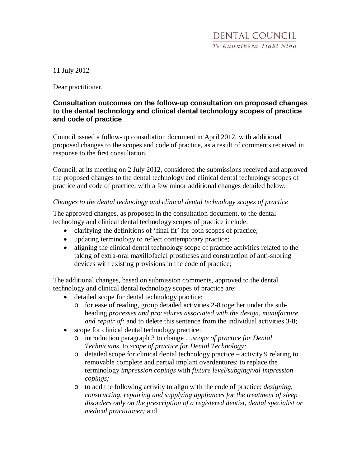11 July 2012

Dear practitioner,

# **Consultation outcomes on the follow-up consultation on proposed changes to the dental technology and clinical dental technology scopes of practice and code of practice**

Council issued a follow-up consultation document in April 2012, with additional proposed changes to the scopes and code of practice, as a result of comments received in response to the first consultation.

Council, at its meeting on 2 July 2012, considered the submissions received and approved the proposed changes to the dental technology and clinical dental technology scopes of practice and code of practice, with a few minor additional changes detailed below.

### *Changes to the dental technology and clinical dental technology scopes of practice*

The approved changes, as proposed in the consultation document, to the dental technology and clinical dental technology scopes of practice include:

- clarifying the definitions of 'final fit' for both scopes of practice;
- updating terminology to reflect contemporary practice;
- aligning the clinical dental technology scope of practice activities related to the taking of extra-oral maxillofacial prostheses and construction of anti-snoring devices with existing provisions in the code of practice;

The additional changes, based on submission comments, approved to the dental technology and clinical dental technology scopes of practice are:

- detailed scope for dental technology practice:
	- o for ease of reading, group detailed activities 2-8 together under the subheading *processes and procedures associated with the design, manufacture and repair of:* and to delete this sentence from the individual activities 3-8;
- scope for clinical dental technology practice:
	- o introduction paragraph 3 to change …*scope of practice for Dental Technicians*, to *scope of practice for Dental Technology;*
	- o detailed scope for clinical dental technology practice activity 9 relating to removable complete and partial implant overdentures: to replace the terminology *impression copings* with *fixture level/subgingival impression copings;*
	- o to add the following activity to align with the code of practice: *designing, constructing, repairing and supplying appliances for the treatment of sleep disorders only on the prescription of a registered dentist, dental specialist or medical practitioner;* and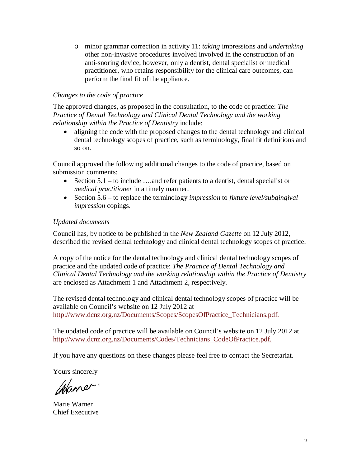o minor grammar correction in activity 11: *taking* impressions and *undertaking* other non*-*invasive procedures involved involved in the construction of an anti-snoring device, however, only a dentist, dental specialist or medical practitioner, who retains responsibility for the clinical care outcomes, can perform the final fit of the appliance.

# *Changes to the code of practice*

The approved changes, as proposed in the consultation, to the code of practice: *The Practice of Dental Technology and Clinical Dental Technology and the working relationship within the Practice of Dentistry* include:

• aligning the code with the proposed changes to the dental technology and clinical dental technology scopes of practice, such as terminology, final fit definitions and so on.

Council approved the following additional changes to the code of practice, based on submission comments:

- Section  $5.1 -$  to include ....and refer patients to a dentist, dental specialist or *medical practitioner* in a timely manner.
- Section 5.6 to replace the terminology *impression* to *fixture level/subgingival impression* copings.

# *Updated documents*

Council has, by notice to be published in the *New Zealand Gazette* on 12 July 2012, described the revised dental technology and clinical dental technology scopes of practice.

A copy of the notice for the dental technology and clinical dental technology scopes of practice and the updated code of practice: *The Practice of Dental Technology and Clinical Dental Technology and the working relationship within the Practice of Dentistry*  are enclosed as Attachment 1 and Attachment 2, respectively.

The revised dental technology and clinical dental technology scopes of practice will be available on Council's website on 12 July 2012 at http://www.dcnz.org.nz/Documents/Scopes/ScopesOfPractice\_Technicians.pdf.

The updated code of practice will be available on Council's website on 12 July 2012 at http://www.dcnz.org.nz/Documents/Codes/Technicians\_CodeOfPractice.pdf.

If you have any questions on these changes please feel free to contact the Secretariat.

Yours sincerely

Waner

Marie Warner Chief Executive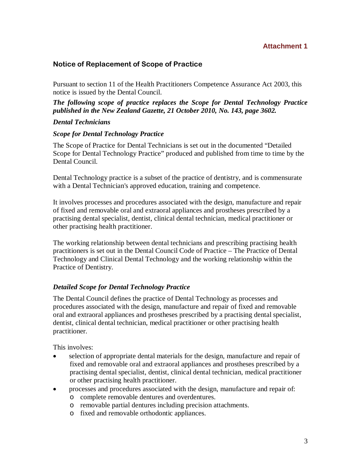## **Attachment 1**

# Notice of Replacement of Scope of Practice

Pursuant to section 11 of the Health Practitioners Competence Assurance Act 2003, this notice is issued by the Dental Council.

*The following scope of practice replaces the Scope for Dental Technology Practice published in the New Zealand Gazette, 21 October 2010, No. 143, page 3602.* 

### *Dental Technicians*

### *Scope for Dental Technology Practice*

The Scope of Practice for Dental Technicians is set out in the documented "Detailed Scope for Dental Technology Practice" produced and published from time to time by the Dental Council.

Dental Technology practice is a subset of the practice of dentistry, and is commensurate with a Dental Technician's approved education, training and competence.

It involves processes and procedures associated with the design, manufacture and repair of fixed and removable oral and extraoral appliances and prostheses prescribed by a practising dental specialist, dentist, clinical dental technician, medical practitioner or other practising health practitioner.

The working relationship between dental technicians and prescribing practising health practitioners is set out in the Dental Council Code of Practice – The Practice of Dental Technology and Clinical Dental Technology and the working relationship within the Practice of Dentistry.

### *Detailed Scope for Dental Technology Practice*

The Dental Council defines the practice of Dental Technology as processes and procedures associated with the design, manufacture and repair of fixed and removable oral and extraoral appliances and prostheses prescribed by a practising dental specialist, dentist, clinical dental technician, medical practitioner or other practising health practitioner.

This involves:

- selection of appropriate dental materials for the design, manufacture and repair of fixed and removable oral and extraoral appliances and prostheses prescribed by a practising dental specialist, dentist, clinical dental technician, medical practitioner or other practising health practitioner.
- processes and procedures associated with the design, manufacture and repair of:
	- o complete removable dentures and overdentures.
	- o removable partial dentures including precision attachments.
	- o fixed and removable orthodontic appliances.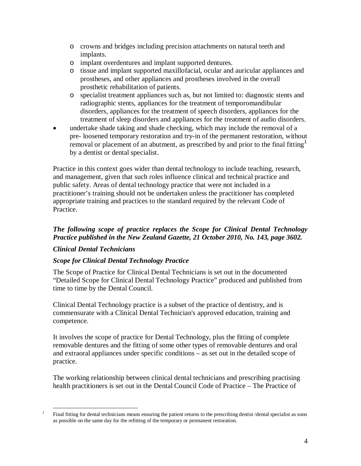- o crowns and bridges including precision attachments on natural teeth and implants.
- o implant overdentures and implant supported dentures.
- o tissue and implant supported maxillofacial, ocular and auricular appliances and prostheses, and other appliances and prostheses involved in the overall prosthetic rehabilitation of patients.
- o specialist treatment appliances such as, but not limited to: diagnostic stents and radiographic stents, appliances for the treatment of temporomandibular disorders, appliances for the treatment of speech disorders, appliances for the treatment of sleep disorders and appliances for the treatment of audio disorders.
- undertake shade taking and shade checking, which may include the removal of a pre- loosened temporary restoration and try-in of the permanent restoration, without removal or placement of an abutment, as prescribed by and prior to the final fitting<sup>1</sup> by a dentist or dental specialist.

Practice in this context goes wider than dental technology to include teaching, research, and management, given that such roles influence clinical and technical practice and public safety. Areas of dental technology practice that were not included in a practitioner's training should not be undertaken unless the practitioner has completed appropriate training and practices to the standard required by the relevant Code of Practice.

# *The following scope of practice replaces the Scope for Clinical Dental Technology Practice published in the New Zealand Gazette, 21 October 2010, No. 143, page 3602.*

# *Clinical Dental Technicians*

### *Scope for Clinical Dental Technology Practice*

The Scope of Practice for Clinical Dental Technicians is set out in the documented "Detailed Scope for Clinical Dental Technology Practice" produced and published from time to time by the Dental Council.

Clinical Dental Technology practice is a subset of the practice of dentistry, and is commensurate with a Clinical Dental Technician's approved education, training and competence.

It involves the scope of practice for Dental Technology, plus the fitting of complete removable dentures and the fitting of some other types of removable dentures and oral and extraoral appliances under specific conditions – as set out in the detailed scope of practice.

The working relationship between clinical dental technicians and prescribing practising health practitioners is set out in the Dental Council Code of Practice – The Practice of

<sup>&</sup>lt;u>.</u> 1 Final fitting for dental technicians means ensuring the patient returns to the prescribing dentist /dental specialist as soon as possible on the same day for the refitting of the temporary or permanent restoration.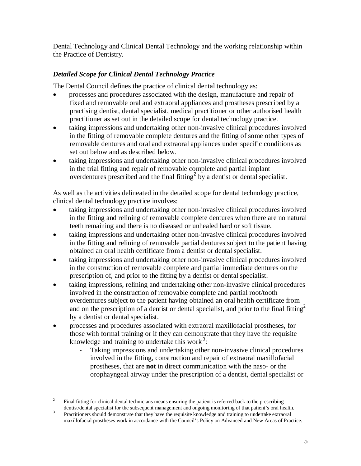Dental Technology and Clinical Dental Technology and the working relationship within the Practice of Dentistry.

# *Detailed Scope for Clinical Dental Technology Practice*

The Dental Council defines the practice of clinical dental technology as:

- processes and procedures associated with the design, manufacture and repair of fixed and removable oral and extraoral appliances and prostheses prescribed by a practising dentist, dental specialist, medical practitioner or other authorised health practitioner as set out in the detailed scope for dental technology practice.
- taking impressions and undertaking other non-invasive clinical procedures involved in the fitting of removable complete dentures and the fitting of some other types of removable dentures and oral and extraoral appliances under specific conditions as set out below and as described below.
- taking impressions and undertaking other non-invasive clinical procedures involved in the trial fitting and repair of removable complete and partial implant overdentures prescribed and the final fitting<sup>2</sup> by a dentist or dental specialist.

As well as the activities delineated in the detailed scope for dental technology practice, clinical dental technology practice involves:

- taking impressions and undertaking other non-invasive clinical procedures involved in the fitting and relining of removable complete dentures when there are no natural teeth remaining and there is no diseased or unhealed hard or soft tissue.
- taking impressions and undertaking other non-invasive clinical procedures involved in the fitting and relining of removable partial dentures subject to the patient having obtained an oral health certificate from a dentist or dental specialist.
- taking impressions and undertaking other non-invasive clinical procedures involved in the construction of removable complete and partial immediate dentures on the prescription of, and prior to the fitting by a dentist or dental specialist.
- taking impressions, relining and undertaking other non-invasive clinical procedures involved in the construction of removable complete and partial root/tooth overdentures subject to the patient having obtained an oral health certificate from and on the prescription of a dentist or dental specialist, and prior to the final fitting<sup>2</sup> by a dentist or dental specialist.
- processes and procedures associated with extraoral maxillofacial prostheses, for those with formal training or if they can demonstrate that they have the requisite knowledge and training to undertake this work<sup>3</sup>:
	- Taking impressions and undertaking other non-invasive clinical procedures involved in the fitting, construction and repair of extraoral maxillofacial prostheses, that are **not** in direct communication with the naso- or the orophayngeal airway under the prescription of a dentist, dental specialist or

 $\frac{1}{2}$  Final fitting for clinical dental technicians means ensuring the patient is referred back to the prescribing dentist/dental specialist for the subsequent management and ongoing monitoring of that patient's oral health.

<sup>3</sup> Practitioners should demonstrate that they have the requisite knowledge and training to undertake extraoral maxillofacial prostheses work in accordance with the Council's Policy on Advanced and New Areas of Practice.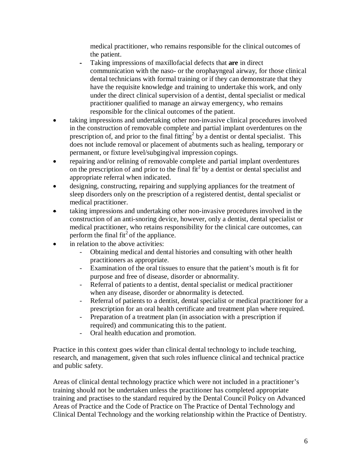medical practitioner, who remains responsible for the clinical outcomes of the patient.

- Taking impressions of maxillofacial defects that **are** in direct communication with the naso- or the orophayngeal airway, for those clinical dental technicians with formal training or if they can demonstrate that they have the requisite knowledge and training to undertake this work, and only under the direct clinical supervision of a dentist, dental specialist or medical practitioner qualified to manage an airway emergency, who remains responsible for the clinical outcomes of the patient.
- taking impressions and undertaking other non-invasive clinical procedures involved in the construction of removable complete and partial implant overdentures on the prescription of, and prior to the final fitting<sup>2</sup> by a dentist or dental specialist. This does not include removal or placement of abutments such as healing, temporary or permanent, or fixture level/subgingival impression copings.
- repairing and/or relining of removable complete and partial implant overdentures on the prescription of and prior to the final fit<sup>2</sup> by a dentist or dental specialist and appropriate referral when indicated.
- designing, constructing, repairing and supplying appliances for the treatment of sleep disorders only on the prescription of a registered dentist, dental specialist or medical practitioner.
- taking impressions and undertaking other non-invasive procedures involved in the construction of an anti-snoring device, however, only a dentist, dental specialist or medical practitioner, who retains responsibility for the clinical care outcomes, can perform the final fit<sup>2</sup> of the appliance.
- in relation to the above activities:
	- Obtaining medical and dental histories and consulting with other health practitioners as appropriate.
	- Examination of the oral tissues to ensure that the patient's mouth is fit for purpose and free of disease, disorder or abnormality.
	- Referral of patients to a dentist, dental specialist or medical practitioner when any disease, disorder or abnormality is detected.
	- Referral of patients to a dentist, dental specialist or medical practitioner for a prescription for an oral health certificate and treatment plan where required.
	- Preparation of a treatment plan (in association with a prescription if required) and communicating this to the patient.
	- Oral health education and promotion.

Practice in this context goes wider than clinical dental technology to include teaching, research, and management, given that such roles influence clinical and technical practice and public safety.

Areas of clinical dental technology practice which were not included in a practitioner's training should not be undertaken unless the practitioner has completed appropriate training and practises to the standard required by the Dental Council Policy on Advanced Areas of Practice and the Code of Practice on The Practice of Dental Technology and Clinical Dental Technology and the working relationship within the Practice of Dentistry.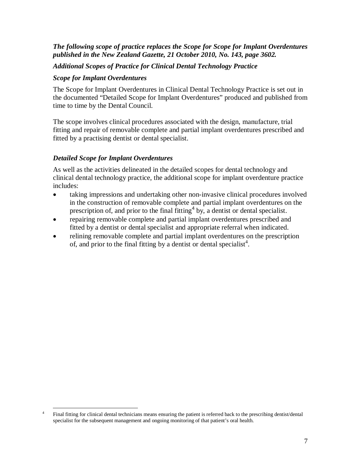### *The following scope of practice replaces the Scope for Scope for Implant Overdentures published in the New Zealand Gazette, 21 October 2010, No. 143, page 3602.*

### *Additional Scopes of Practice for Clinical Dental Technology Practice*

#### *Scope for Implant Overdentures*

The Scope for Implant Overdentures in Clinical Dental Technology Practice is set out in the documented "Detailed Scope for Implant Overdentures" produced and published from time to time by the Dental Council.

The scope involves clinical procedures associated with the design, manufacture, trial fitting and repair of removable complete and partial implant overdentures prescribed and fitted by a practising dentist or dental specialist.

### *Detailed Scope for Implant Overdentures*

As well as the activities delineated in the detailed scopes for dental technology and clinical dental technology practice, the additional scope for implant overdenture practice includes:

- taking impressions and undertaking other non-invasive clinical procedures involved in the construction of removable complete and partial implant overdentures on the prescription of, and prior to the final fitting  $4$  by, a dentist or dental specialist.
- repairing removable complete and partial implant overdentures prescribed and fitted by a dentist or dental specialist and appropriate referral when indicated.
- relining removable complete and partial implant overdentures on the prescription of, and prior to the final fitting by a dentist or dental specialist<sup>4</sup>.

<sup>&</sup>lt;u>.</u> 4 Final fitting for clinical dental technicians means ensuring the patient is referred back to the prescribing dentist/dental specialist for the subsequent management and ongoing monitoring of that patient's oral health.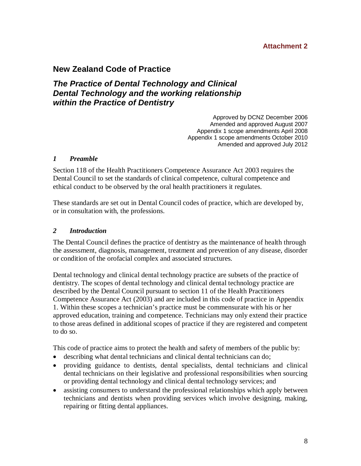## **Attachment 2**

# **New Zealand Code of Practice**

# **The Practice of Dental Technology and Clinical Dental Technology and the working relationship within the Practice of Dentistry**

Approved by DCNZ December 2006 Amended and approved August 2007 Appendix 1 scope amendments April 2008 Appendix 1 scope amendments October 2010 Amended and approved July 2012

#### *1 Preamble*

Section 118 of the Health Practitioners Competence Assurance Act 2003 requires the Dental Council to set the standards of clinical competence, cultural competence and ethical conduct to be observed by the oral health practitioners it regulates.

These standards are set out in Dental Council codes of practice, which are developed by, or in consultation with, the professions.

#### *2 Introduction*

The Dental Council defines the practice of dentistry as the maintenance of health through the assessment, diagnosis, management, treatment and prevention of any disease, disorder or condition of the orofacial complex and associated structures.

Dental technology and clinical dental technology practice are subsets of the practice of dentistry. The scopes of dental technology and clinical dental technology practice are described by the Dental Council pursuant to section 11 of the Health Practitioners Competence Assurance Act (2003) and are included in this code of practice in Appendix 1. Within these scopes a technician's practice must be commensurate with his or her approved education, training and competence. Technicians may only extend their practice to those areas defined in additional scopes of practice if they are registered and competent to do so.

This code of practice aims to protect the health and safety of members of the public by:

- describing what dental technicians and clinical dental technicians can do;
- providing guidance to dentists, dental specialists, dental technicians and clinical dental technicians on their legislative and professional responsibilities when sourcing or providing dental technology and clinical dental technology services; and
- assisting consumers to understand the professional relationships which apply between technicians and dentists when providing services which involve designing, making, repairing or fitting dental appliances.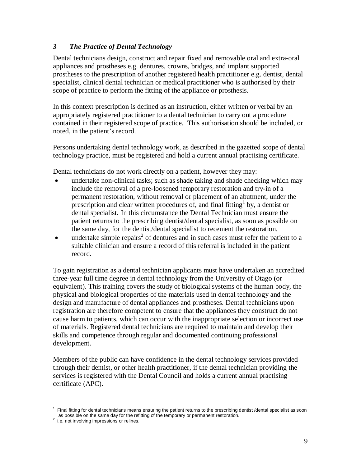## *3 The Practice of Dental Technology*

Dental technicians design, construct and repair fixed and removable oral and extra-oral appliances and prostheses e.g. dentures, crowns, bridges, and implant supported prostheses to the prescription of another registered health practitioner e.g. dentist, dental specialist, clinical dental technician or medical practitioner who is authorised by their scope of practice to perform the fitting of the appliance or prosthesis.

In this context prescription is defined as an instruction, either written or verbal by an appropriately registered practitioner to a dental technician to carry out a procedure contained in their registered scope of practice. This authorisation should be included, or noted, in the patient's record.

Persons undertaking dental technology work, as described in the gazetted scope of dental technology practice, must be registered and hold a current annual practising certificate.

Dental technicians do not work directly on a patient, however they may:

- undertake non-clinical tasks; such as shade taking and shade checking which may include the removal of a pre-loosened temporary restoration and try-in of a permanent restoration, without removal or placement of an abutment, under the prescription and clear written procedures of, and final fitting<sup>1</sup> by, a dentist or dental specialist.In this circumstance the Dental Technician must ensure the patient returns to the prescribing dentist/dental specialist, as soon as possible on the same day, for the dentist/dental specialist to recement the restoration.
- $\bullet$  undertake simple repairs<sup>2</sup> of dentures and in such cases must refer the patient to a suitable clinician and ensure a record of this referral is included in the patient record.

To gain registration as a dental technician applicants must have undertaken an accredited three-year full time degree in dental technology from the University of Otago (or equivalent). This training covers the study of biological systems of the human body, the physical and biological properties of the materials used in dental technology and the design and manufacture of dental appliances and prostheses. Dental technicians upon registration are therefore competent to ensure that the appliances they construct do not cause harm to patients, which can occur with the inappropriate selection or incorrect use of materials. Registered dental technicians are required to maintain and develop their skills and competence through regular and documented continuing professional development.

Members of the public can have confidence in the dental technology services provided through their dentist, or other health practitioner, if the dental technician providing the services is registered with the Dental Council and holds a current annual practising certificate (APC).

<sup>&</sup>lt;u>.</u> <sup>1</sup> Final fitting for dental technicians means ensuring the patient returns to the prescribing dentist /dental specialist as soon as possible on the same day for the refitting of the temporary or permanent restoration. 2 i.e. not involving impressions or relines.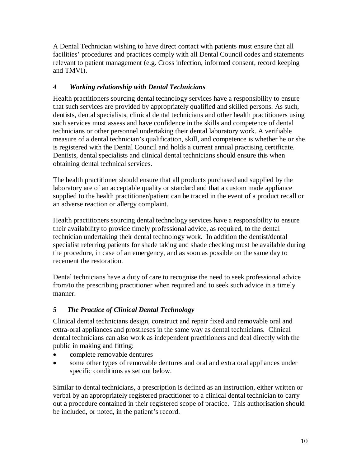A Dental Technician wishing to have direct contact with patients must ensure that all facilities' procedures and practices comply with all Dental Council codes and statements relevant to patient management (e.g. Cross infection, informed consent, record keeping and TMVI).

# *4 Working relationship with Dental Technicians*

Health practitioners sourcing dental technology services have a responsibility to ensure that such services are provided by appropriately qualified and skilled persons. As such, dentists, dental specialists, clinical dental technicians and other health practitioners using such services must assess and have confidence in the skills and competence of dental technicians or other personnel undertaking their dental laboratory work. A verifiable measure of a dental technician's qualification, skill, and competence is whether he or she is registered with the Dental Council and holds a current annual practising certificate. Dentists, dental specialists and clinical dental technicians should ensure this when obtaining dental technical services.

The health practitioner should ensure that all products purchased and supplied by the laboratory are of an acceptable quality or standard and that a custom made appliance supplied to the health practitioner/patient can be traced in the event of a product recall or an adverse reaction or allergy complaint.

Health practitioners sourcing dental technology services have a responsibility to ensure their availability to provide timely professional advice, as required, to the dental technician undertaking their dental technology work. In addition the dentist/dental specialist referring patients for shade taking and shade checking must be available during the procedure, in case of an emergency, and as soon as possible on the same day to recement the restoration.

Dental technicians have a duty of care to recognise the need to seek professional advice from/to the prescribing practitioner when required and to seek such advice in a timely manner.

# *5 The Practice of Clinical Dental Technology*

Clinical dental technicians design, construct and repair fixed and removable oral and extra-oral appliances and prostheses in the same way as dental technicians. Clinical dental technicians can also work as independent practitioners and deal directly with the public in making and fitting:

- complete removable dentures
- some other types of removable dentures and oral and extra oral appliances under specific conditions as set out below.

Similar to dental technicians, a prescription is defined as an instruction, either written or verbal by an appropriately registered practitioner to a clinical dental technician to carry out a procedure contained in their registered scope of practice. This authorisation should be included, or noted, in the patient's record.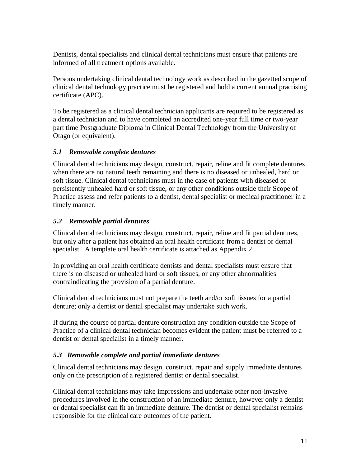Dentists, dental specialists and clinical dental technicians must ensure that patients are informed of all treatment options available.

Persons undertaking clinical dental technology work as described in the gazetted scope of clinical dental technology practice must be registered and hold a current annual practising certificate (APC).

To be registered as a clinical dental technician applicants are required to be registered as a dental technician and to have completed an accredited one-year full time or two-year part time Postgraduate Diploma in Clinical Dental Technology from the University of Otago (or equivalent).

# *5.1 Removable complete dentures*

Clinical dental technicians may design, construct, repair, reline and fit complete dentures when there are no natural teeth remaining and there is no diseased or unhealed, hard or soft tissue. Clinical dental technicians must in the case of patients with diseased or persistently unhealed hard or soft tissue, or any other conditions outside their Scope of Practice assess and refer patients to a dentist, dental specialist or medical practitioner in a timely manner.

# *5.2 Removable partial dentures*

Clinical dental technicians may design, construct, repair, reline and fit partial dentures, but only after a patient has obtained an oral health certificate from a dentist or dental specialist. A template oral health certificate is attached as Appendix 2.

In providing an oral health certificate dentists and dental specialists must ensure that there is no diseased or unhealed hard or soft tissues, or any other abnormalities contraindicating the provision of a partial denture.

Clinical dental technicians must not prepare the teeth and/or soft tissues for a partial denture; only a dentist or dental specialist may undertake such work.

If during the course of partial denture construction any condition outside the Scope of Practice of a clinical dental technician becomes evident the patient must be referred to a dentist or dental specialist in a timely manner.

### *5.3 Removable complete and partial immediate dentures*

Clinical dental technicians may design, construct, repair and supply immediate dentures only on the prescription of a registered dentist or dental specialist.

Clinical dental technicians may take impressions and undertake other non-invasive procedures involved in the construction of an immediate denture, however only a dentist or dental specialist can fit an immediate denture. The dentist or dental specialist remains responsible for the clinical care outcomes of the patient.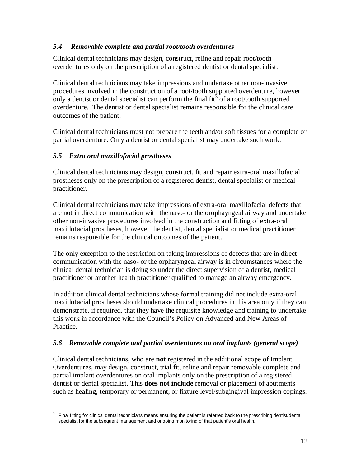## *5.4 Removable complete and partial root/tooth overdentures*

Clinical dental technicians may design, construct, reline and repair root/tooth overdentures only on the prescription of a registered dentist or dental specialist.

Clinical dental technicians may take impressions and undertake other non-invasive procedures involved in the construction of a root/tooth supported overdenture, however only a dentist or dental specialist can perform the final fit<sup>3</sup> of a root/tooth supported overdenture. The dentist or dental specialist remains responsible for the clinical care outcomes of the patient.

Clinical dental technicians must not prepare the teeth and/or soft tissues for a complete or partial overdenture. Only a dentist or dental specialist may undertake such work.

# *5.5 Extra oral maxillofacial prostheses*

Clinical dental technicians may design, construct, fit and repair extra-oral maxillofacial prostheses only on the prescription of a registered dentist, dental specialist or medical practitioner.

Clinical dental technicians may take impressions of extra-oral maxillofacial defects that are not in direct communication with the naso- or the orophayngeal airway and undertake other non-invasive procedures involved in the construction and fitting of extra-oral maxillofacial prostheses, however the dentist, dental specialist or medical practitioner remains responsible for the clinical outcomes of the patient.

The only exception to the restriction on taking impressions of defects that are in direct communication with the naso- or the orpharyngeal airway is in circumstances where the clinical dental technician is doing so under the direct supervision of a dentist, medical practitioner or another health practitioner qualified to manage an airway emergency.

In addition clinical dental technicians whose formal training did not include extra-oral maxillofacial prostheses should undertake clinical procedures in this area only if they can demonstrate, if required, that they have the requisite knowledge and training to undertake this work in accordance with the Council's Policy on Advanced and New Areas of Practice.

# *5.6 Removable complete and partial overdentures on oral implants (general scope)*

Clinical dental technicians, who are **not** registered in the additional scope of Implant Overdentures, may design, construct, trial fit, reline and repair removable complete and partial implant overdentures on oral implants only on the prescription of a registered dentist or dental specialist. This **does not include** removal or placement of abutments such as healing, temporary or permanent, or fixture level/subgingival impression copings.

<sup>-</sup>3 Final fitting for clinical dental technicians means ensuring the patient is referred back to the prescribing dentist/dental specialist for the subsequent management and ongoing monitoring of that patient's oral health.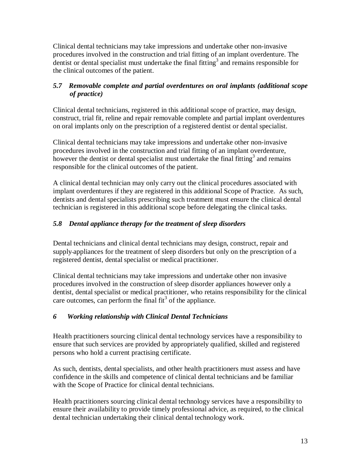Clinical dental technicians may take impressions and undertake other non-invasive procedures involved in the construction and trial fitting of an implant overdenture. The dentist or dental specialist must undertake the final fitting<sup>3</sup> and remains responsible for the clinical outcomes of the patient.

# *5.7 Removable complete and partial overdentures on oral implants (additional scope of practice)*

Clinical dental technicians, registered in this additional scope of practice, may design, construct, trial fit, reline and repair removable complete and partial implant overdentures on oral implants only on the prescription of a registered dentist or dental specialist.

Clinical dental technicians may take impressions and undertake other non-invasive procedures involved in the construction and trial fitting of an implant overdenture, however the dentist or dental specialist must undertake the final fitting<sup>3</sup> and remains responsible for the clinical outcomes of the patient.

A clinical dental technician may only carry out the clinical procedures associated with implant overdentures if they are registered in this additional Scope of Practice. As such, dentists and dental specialists prescribing such treatment must ensure the clinical dental technician is registered in this additional scope before delegating the clinical tasks.

# *5.8 Dental appliance therapy for the treatment of sleep disorders*

Dental technicians and clinical dental technicians may design, construct, repair and supply appliances for the treatment of sleep disorders but only on the prescription of a registered dentist, dental specialist or medical practitioner.

Clinical dental technicians may take impressions and undertake other non invasive procedures involved in the construction of sleep disorder appliances however only a dentist, dental specialist or medical practitioner, who retains responsibility for the clinical care outcomes, can perform the final  $fit<sup>3</sup>$  of the appliance.

# *6 Working relationship with Clinical Dental Technicians*

Health practitioners sourcing clinical dental technology services have a responsibility to ensure that such services are provided by appropriately qualified, skilled and registered persons who hold a current practising certificate.

As such, dentists, dental specialists, and other health practitioners must assess and have confidence in the skills and competence of clinical dental technicians and be familiar with the Scope of Practice for clinical dental technicians.

Health practitioners sourcing clinical dental technology services have a responsibility to ensure their availability to provide timely professional advice, as required, to the clinical dental technician undertaking their clinical dental technology work.